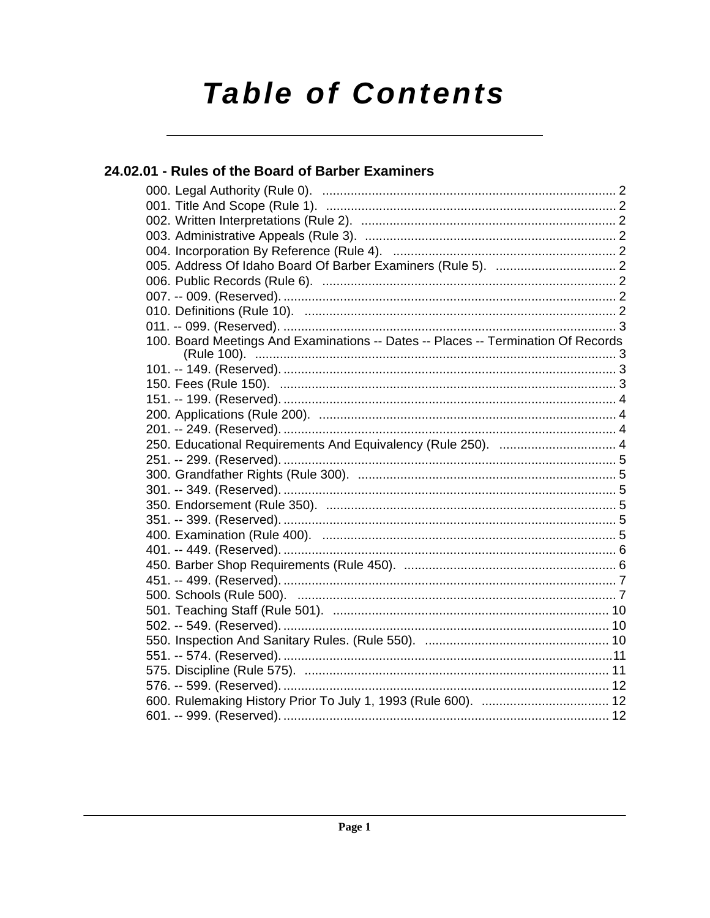# **Table of Contents**

### 24.02.01 - Rules of the Board of Barber Examiners

| 100. Board Meetings And Examinations -- Dates -- Places -- Termination Of Records |  |
|-----------------------------------------------------------------------------------|--|
|                                                                                   |  |
|                                                                                   |  |
|                                                                                   |  |
|                                                                                   |  |
|                                                                                   |  |
| 250. Educational Requirements And Equivalency (Rule 250).  4                      |  |
|                                                                                   |  |
|                                                                                   |  |
|                                                                                   |  |
|                                                                                   |  |
|                                                                                   |  |
|                                                                                   |  |
|                                                                                   |  |
|                                                                                   |  |
|                                                                                   |  |
|                                                                                   |  |
|                                                                                   |  |
|                                                                                   |  |
|                                                                                   |  |
|                                                                                   |  |
|                                                                                   |  |
|                                                                                   |  |
|                                                                                   |  |
|                                                                                   |  |
|                                                                                   |  |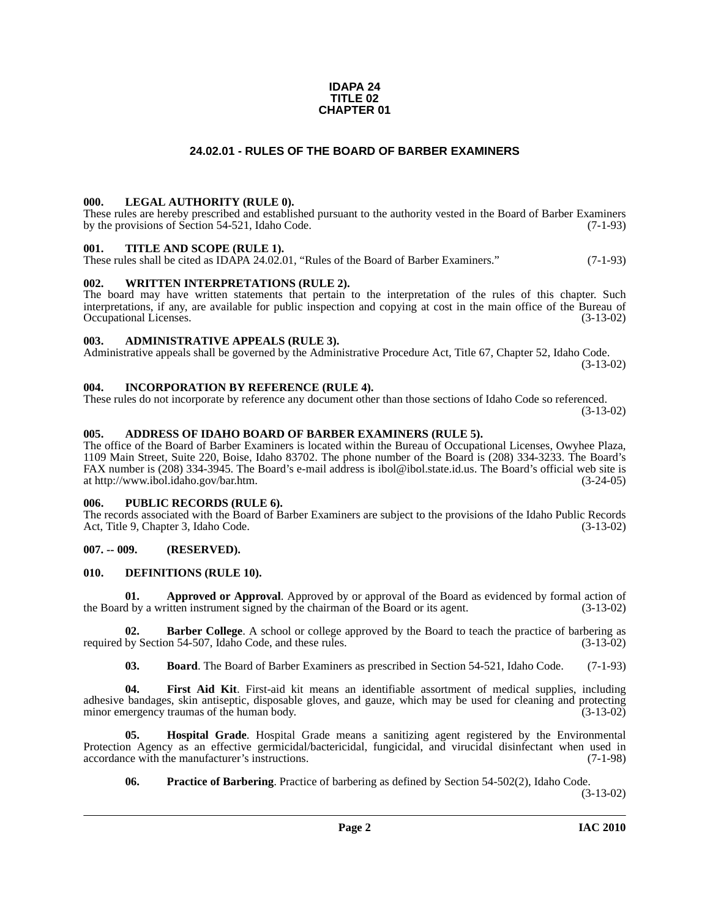#### **IDAPA 24 TITLE 02 CHAPTER 01**

#### **24.02.01 - RULES OF THE BOARD OF BARBER EXAMINERS**

#### <span id="page-1-1"></span><span id="page-1-0"></span>**000. LEGAL AUTHORITY (RULE 0).**

These rules are hereby prescribed and established pursuant to the authority vested in the Board of Barber Examiners by the provisions of Section 54-521, Idaho Code. (7-1-93)

#### <span id="page-1-2"></span>**001. TITLE AND SCOPE (RULE 1).**

These rules shall be cited as IDAPA 24.02.01, "Rules of the Board of Barber Examiners." (7-1-93)

#### <span id="page-1-3"></span>**002. WRITTEN INTERPRETATIONS (RULE 2).**

The board may have written statements that pertain to the interpretation of the rules of this chapter. Such interpretations, if any, are available for public inspection and copying at cost in the main office of the Bureau of Occupational Licenses. (3-13-02) Occupational Licenses.

#### <span id="page-1-4"></span>**003. ADMINISTRATIVE APPEALS (RULE 3).**

Administrative appeals shall be governed by the Administrative Procedure Act, Title 67, Chapter 52, Idaho Code. (3-13-02)

#### <span id="page-1-5"></span>**004. INCORPORATION BY REFERENCE (RULE 4).**

These rules do not incorporate by reference any document other than those sections of Idaho Code so referenced. (3-13-02)

#### <span id="page-1-10"></span><span id="page-1-6"></span>**005. ADDRESS OF IDAHO BOARD OF BARBER EXAMINERS (RULE 5).**

[The office of the Board of Barber Examiners is located within the Bureau of Occupational Licenses, Owyhee Plaza,](http://www.ibol.idaho.gov/bar.htm) 1109 Main Street, Suite 220, Boise, Idaho 83702. The phone number of the Board is (208) 334-3233. The Board's FAX number is (208) 334-3945. The Board's e-mail address is ibol@ibol.state.id.us. The Board's official web site is at http://www.ibol.idaho.gov/bar.htm. (3-24-05)

#### <span id="page-1-7"></span>**006. PUBLIC RECORDS (RULE 6).**

The records associated with the Board of Barber Examiners are subject to the provisions of the Idaho Public Records<br>Act, Title 9, Chapter 3, Idaho Code. (3-13-02) Act, Title 9, Chapter 3, Idaho Code.

#### <span id="page-1-8"></span>**007. -- 009. (RESERVED).**

#### <span id="page-1-12"></span><span id="page-1-9"></span>**010. DEFINITIONS (RULE 10).**

**01. Approved or Approval**. Approved by or approval of the Board as evidenced by formal action of the Board by a written instrument signed by the chairman of the Board or its agent. (3-13-02)

**Barber College**. A school or college approved by the Board to teach the practice of barbering as on 54-507, Idaho Code, and these rules. (3-13-02) required by Section 54-507, Idaho Code, and these rules.

<span id="page-1-13"></span><span id="page-1-11"></span>**03. Board**. The Board of Barber Examiners as prescribed in Section 54-521, Idaho Code. (7-1-93)

**04. First Aid Kit**. First-aid kit means an identifiable assortment of medical supplies, including adhesive bandages, skin antiseptic, disposable gloves, and gauze, which may be used for cleaning and protecting minor emergency traumas of the human body. (3-13-02)

**05. Hospital Grade**. Hospital Grade means a sanitizing agent registered by the Environmental Protection Agency as an effective germicidal/bactericidal, fungicidal, and virucidal disinfectant when used in accordance with the manufacturer's instructions. (7-1-98) accordance with the manufacturer's instructions.

<span id="page-1-15"></span><span id="page-1-14"></span>**06.** Practice of Barbering. Practice of barbering as defined by Section 54-502(2), Idaho Code.

(3-13-02)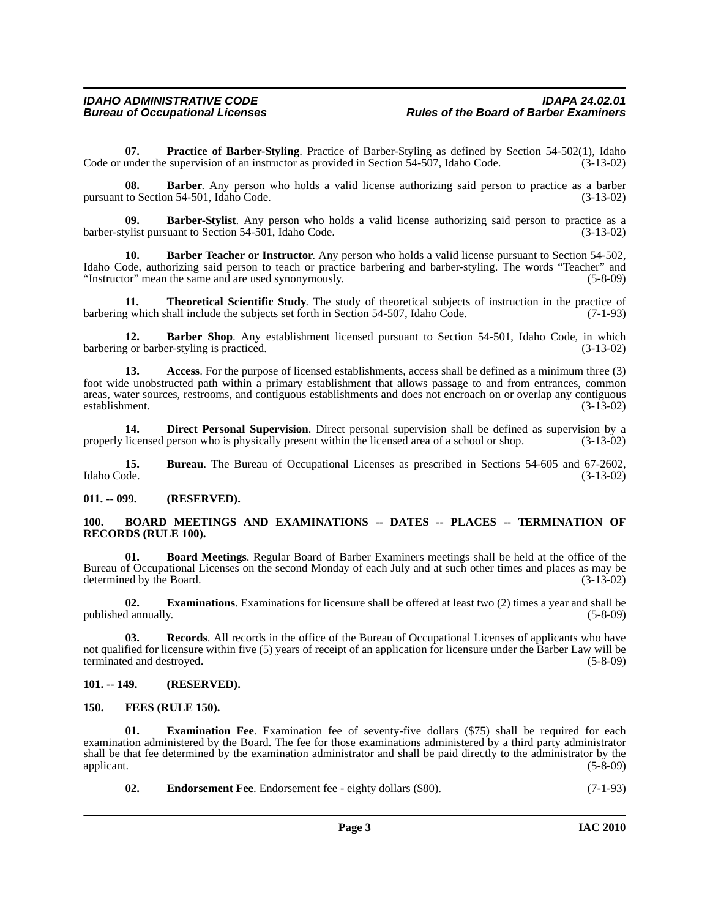<span id="page-2-15"></span>**07. Practice of Barber-Styling**. Practice of Barber-Styling as defined by Section 54-502(1), Idaho Code or under the supervision of an instructor as provided in Section 54-507, Idaho Code. (3-13-02)

**08. Barber**. Any person who holds a valid license authorizing said person to practice as a barber pursuant to Section 54-501, Idaho Code. (3-13-02)

<span id="page-2-7"></span>**09. Barber-Stylist**. Any person who holds a valid license authorizing said person to practice as a barber-stylist pursuant to Section 54-501, Idaho Code. (3-13-02)

<span id="page-2-6"></span>**10. Barber Teacher or Instructor**. Any person who holds a valid license pursuant to Section 54-502, Idaho Code, authorizing said person to teach or practice barbering and barber-styling. The words "Teacher" and<br>
"Instructor" mean the same and are used synonymously. (5-8-09) "Instructor" mean the same and are used synonymously.

<span id="page-2-17"></span>**11. Theoretical Scientific Study**. The study of theoretical subjects of instruction in the practice of g which shall include the subjects set forth in Section 54-507, Idaho Code. (7-1-93) barbering which shall include the subjects set forth in Section 54-507, Idaho Code.

<span id="page-2-5"></span>12. **Barber Shop**. Any establishment licensed pursuant to Section 54-501, Idaho Code, in which barbering or barber-styling is practiced. (3-13-02)

<span id="page-2-4"></span>**13. Access**. For the purpose of licensed establishments, access shall be defined as a minimum three (3) foot wide unobstructed path within a primary establishment that allows passage to and from entrances, common areas, water sources, restrooms, and contiguous establishments and does not encroach on or overlap any contiguous establishment. (3-13-02)

<span id="page-2-10"></span>**14. Direct Personal Supervision**. Direct personal supervision shall be defined as supervision by a properly licensed person who is physically present within the licensed area of a school or shop. (3-13-02)

**15. Bureau**. The Bureau of Occupational Licenses as prescribed in Sections 54-605 and 67-2602, Idaho Code. (3-13-02)

<span id="page-2-0"></span>**011. -- 099. (RESERVED).**

#### <span id="page-2-9"></span><span id="page-2-1"></span>**100. BOARD MEETINGS AND EXAMINATIONS -- DATES -- PLACES -- TERMINATION OF RECORDS (RULE 100).**

<span id="page-2-8"></span>**01. Board Meetings**. Regular Board of Barber Examiners meetings shall be held at the office of the Bureau of Occupational Licenses on the second Monday of each July and at such other times and places as may be determined by the Board. (3-13-02)

<span id="page-2-13"></span>**02. Examinations**. Examinations for licensure shall be offered at least two (2) times a year and shall be published annually. (5-8-09)

<span id="page-2-16"></span>**03. Records**. All records in the office of the Bureau of Occupational Licenses of applicants who have not qualified for licensure within five (5) years of receipt of an application for licensure under the Barber Law will be terminated and destroved. (5-8-09) terminated and destroyed.

#### <span id="page-2-2"></span>**101. -- 149. (RESERVED).**

#### <span id="page-2-14"></span><span id="page-2-3"></span>**150. FEES (RULE 150).**

**Examination Fee.** Examination fee of seventy-five dollars (\$75) shall be required for each examination administered by the Board. The fee for those examinations administered by a third party administrator shall be that fee determined by the examination administrator and shall be paid directly to the administrator by the applicant.  $(5-8-09)$ 

<span id="page-2-12"></span><span id="page-2-11"></span>**02. Endorsement Fee**. Endorsement fee - eighty dollars (\$80). (7-1-93)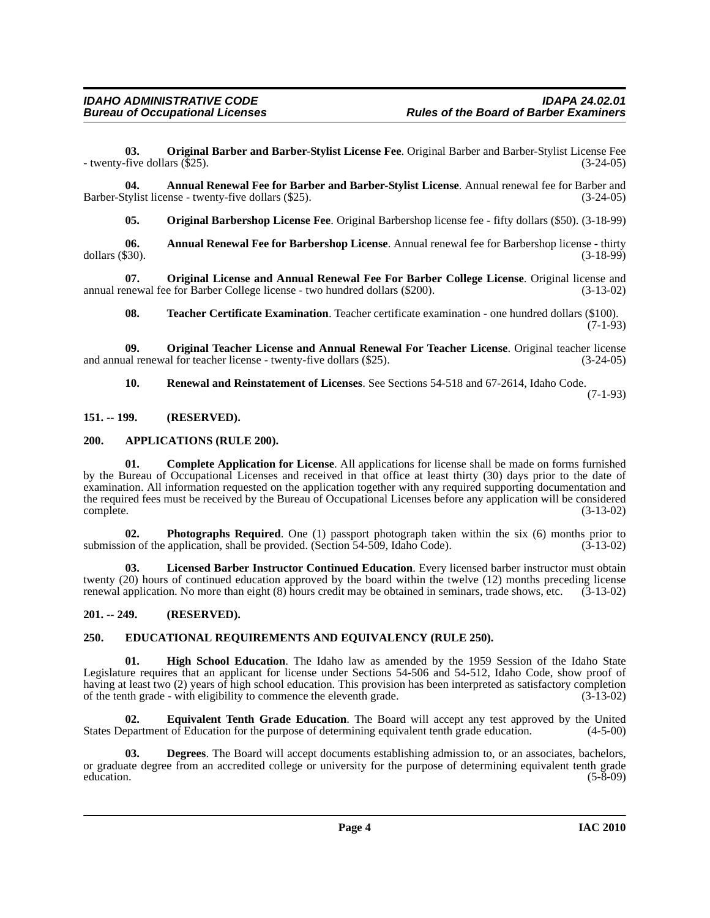<span id="page-3-13"></span>**03. Original Barber and Barber-Stylist License Fee**. Original Barber and Barber-Stylist License Fee - twenty-five dollars (\$25). (3-24-05)

**04. Annual Renewal Fee for Barber and Barber-Stylist License**. Annual renewal fee for Barber and Barber-Stylist license - twenty-five dollars (\$25). (3-24-05)

<span id="page-3-14"></span><span id="page-3-5"></span><span id="page-3-4"></span>**05. Original Barbershop License Fee**. Original Barbershop license fee - fifty dollars (\$50). (3-18-99)

**06.** Annual Renewal Fee for Barbershop License. Annual renewal fee for Barbershop license - thirty dollars (\$30). (3-18-99) dollars (\$30). (3-18-99)

**07. Original License and Annual Renewal Fee For Barber College License**. Original license and annual renewal fee for Barber College license - two hundred dollars (\$200). (3-13-02)

<span id="page-3-19"></span><span id="page-3-16"></span><span id="page-3-15"></span>**08. Teacher Certificate Examination**. Teacher certificate examination - one hundred dollars (\$100).  $(7-1-93)$ 

**09. Original Teacher License and Annual Renewal For Teacher License**. Original teacher license and annual renewal for teacher license - twenty-five dollars (\$25). (3-24-05)

<span id="page-3-18"></span><span id="page-3-7"></span>**10. Renewal and Reinstatement of Licenses**. See Sections 54-518 and 67-2614, Idaho Code. (7-1-93)

<span id="page-3-0"></span>**151. -- 199. (RESERVED).**

#### <span id="page-3-6"></span><span id="page-3-1"></span>**200. APPLICATIONS (RULE 200).**

**01. Complete Application for License**. All applications for license shall be made on forms furnished by the Bureau of Occupational Licenses and received in that office at least thirty (30) days prior to the date of examination. All information requested on the application together with any required supporting documentation and the required fees must be received by the Bureau of Occupational Licenses before any application will be considered complete. (3-13-02)

<span id="page-3-17"></span>**02. Photographs Required**. One (1) passport photograph taken within the six (6) months prior to submission of the application, shall be provided. (Section 54-509, Idaho Code). (3-13-02)

<span id="page-3-12"></span>**03. Licensed Barber Instructor Continued Education**. Every licensed barber instructor must obtain twenty (20) hours of continued education approved by the board within the twelve (12) months preceding license renewal application. No more than eight (8) hours credit may be obtained in seminars, trade shows, etc. (3-13-02)

#### <span id="page-3-2"></span>**201. -- 249. (RESERVED).**

#### <span id="page-3-9"></span><span id="page-3-3"></span>**250. EDUCATIONAL REQUIREMENTS AND EQUIVALENCY (RULE 250).**

<span id="page-3-11"></span>**01. High School Education**. The Idaho law as amended by the 1959 Session of the Idaho State Legislature requires that an applicant for license under Sections 54-506 and 54-512, Idaho Code, show proof of having at least two (2) years of high school education. This provision has been interpreted as satisfactory completion of the tenth grade - with eligibility to commence the eleventh grade. (3-13-02)

<span id="page-3-10"></span>**02. Equivalent Tenth Grade Education**. The Board will accept any test approved by the United States Department of Education for the purpose of determining equivalent tenth grade education. (4-5-00)

<span id="page-3-8"></span>**03. Degrees**. The Board will accept documents establishing admission to, or an associates, bachelors, or graduate degree from an accredited college or university for the purpose of determining equivalent tenth grade education. (5-8-09) education.  $(5-8-09)$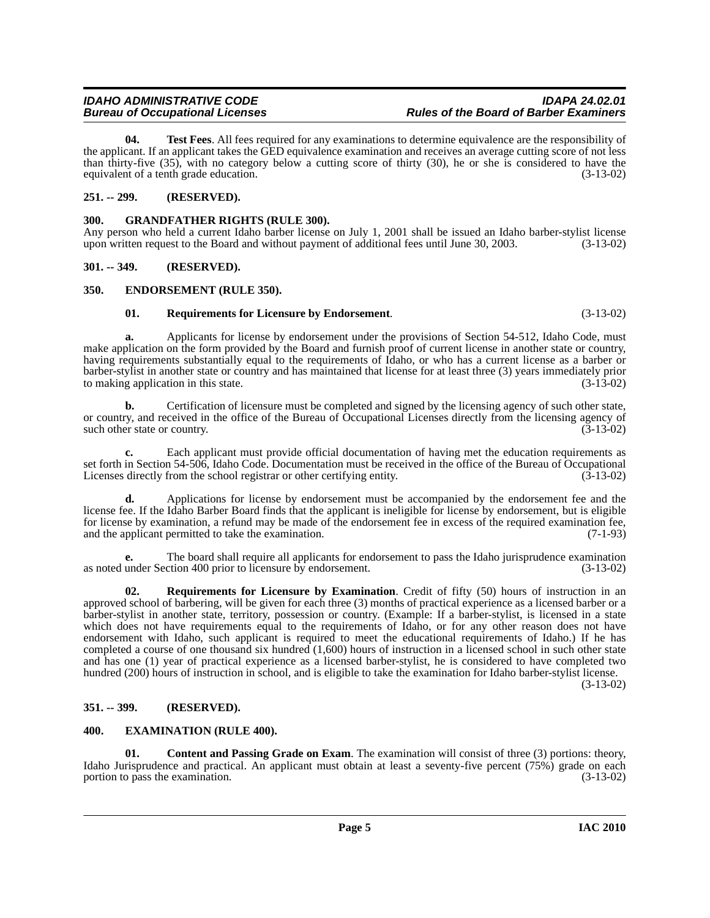## **Bureau of Occupational Licenses**

<span id="page-4-12"></span>**04. Test Fees**. All fees required for any examinations to determine equivalence are the responsibility of the applicant. If an applicant takes the GED equivalence examination and receives an average cutting score of not less than thirty-five (35), with no category below a cutting score of thirty (30), he or she is considered to have the equivalent of a tenth grade education. (3-13-02)

#### <span id="page-4-0"></span>**251. -- 299. (RESERVED).**

#### <span id="page-4-9"></span><span id="page-4-1"></span>**300. GRANDFATHER RIGHTS (RULE 300).**

Any person who held a current Idaho barber license on July 1, 2001 shall be issued an Idaho barber-stylist license upon written request to the Board and without payment of additional fees until June 30, 2003. (3-13-02)

#### <span id="page-4-2"></span>**301. -- 349. (RESERVED).**

#### <span id="page-4-3"></span>**350. ENDORSEMENT (RULE 350).**

#### <span id="page-4-10"></span><span id="page-4-7"></span>**01. Requirements for Licensure by Endorsement**. (3-13-02)

**a.** Applicants for license by endorsement under the provisions of Section 54-512, Idaho Code, must make application on the form provided by the Board and furnish proof of current license in another state or country, having requirements substantially equal to the requirements of Idaho, or who has a current license as a barber or barber-stylist in another state or country and has maintained that license for at least three (3) years immediately prior to making application in this state.

**b.** Certification of licensure must be completed and signed by the licensing agency of such other state, or country, and received in the office of the Bureau of Occupational Licenses directly from the licensing agency of such other state or country.  $(3-13-02)$ 

**c.** Each applicant must provide official documentation of having met the education requirements as set forth in Section 54-506, Idaho Code. Documentation must be received in the office of the Bureau of Occupational Licenses directly from the school registrar or other certifying entity. (3-13-02)

**d.** Applications for license by endorsement must be accompanied by the endorsement fee and the license fee. If the Idaho Barber Board finds that the applicant is ineligible for license by endorsement, but is eligible for license by examination, a refund may be made of the endorsement fee in excess of the required examination fee, and the applicant permitted to take the examination.  $(7-1-93)$ and the applicant permitted to take the examination.

**e.** The board shall require all applicants for endorsement to pass the Idaho jurisprudence examination as noted under Section 400 prior to licensure by endorsement. (3-13-02)

<span id="page-4-11"></span>**02. Requirements for Licensure by Examination**. Credit of fifty (50) hours of instruction in an approved school of barbering, will be given for each three (3) months of practical experience as a licensed barber or a barber-stylist in another state, territory, possession or country. (Example: If a barber-stylist, is licensed in a state which does not have requirements equal to the requirements of Idaho, or for any other reason does not have endorsement with Idaho, such applicant is required to meet the educational requirements of Idaho.) If he has completed a course of one thousand six hundred (1,600) hours of instruction in a licensed school in such other state and has one (1) year of practical experience as a licensed barber-stylist, he is considered to have completed two hundred (200) hours of instruction in school, and is eligible to take the examination for Idaho barber-stylist license.

(3-13-02)

#### <span id="page-4-4"></span>**351. -- 399. (RESERVED).**

#### <span id="page-4-8"></span><span id="page-4-5"></span>**400. EXAMINATION (RULE 400).**

<span id="page-4-6"></span>**01.** Content and Passing Grade on Exam. The examination will consist of three (3) portions: theory, Idaho Jurisprudence and practical. An applicant must obtain at least a seventy-five percent  $(75\%)$  grade on each portion to pass the examination.  $(3-13-02)$ portion to pass the examination.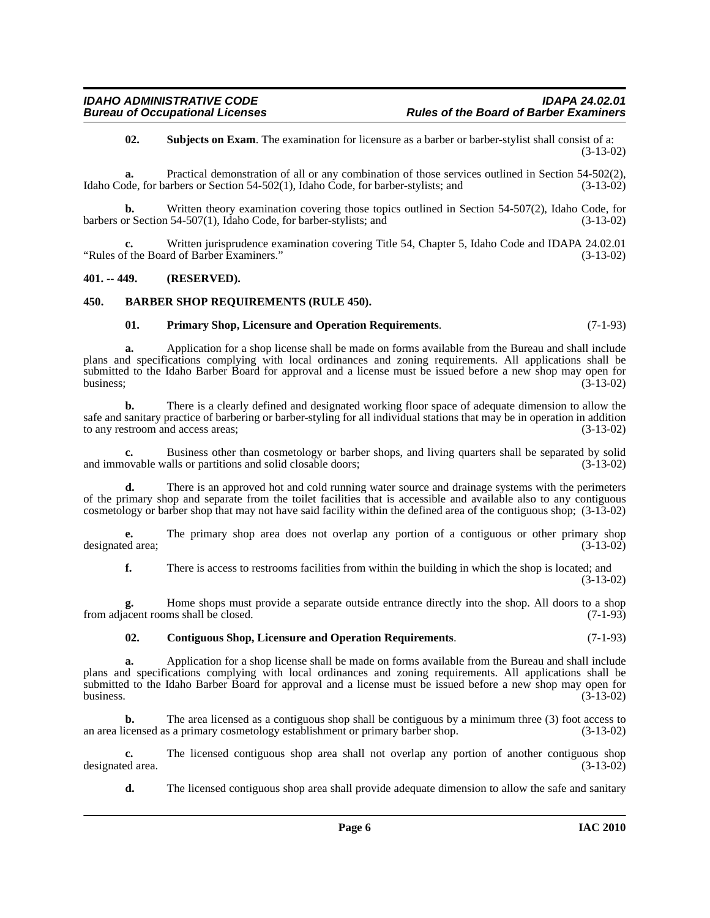<span id="page-5-5"></span>**02. Subjects on Exam**. The examination for licensure as a barber or barber-stylist shall consist of a: (3-13-02)

**a.** Practical demonstration of all or any combination of those services outlined in Section 54-502(2), Idaho Code, for barbers or Section 54-502(1), Idaho Code, for barber-stylists; and (3-13-02)

**b.** Written theory examination covering those topics outlined in Section 54-507(2), Idaho Code, for Section 54-507(1). Idaho Code, for barber-stylists: and (3-13-02) barbers or Section 54-507(1), Idaho Code, for barber-stylists; and

Written jurisprudence examination covering Title 54, Chapter 5, Idaho Code and IDAPA 24.02.01<br>rd of Barber Examiners." (3-13-02) "Rules of the Board of Barber Examiners."

#### <span id="page-5-0"></span>**401. -- 449. (RESERVED).**

#### <span id="page-5-1"></span>**450. BARBER SHOP REQUIREMENTS (RULE 450).**

#### <span id="page-5-4"></span><span id="page-5-2"></span>**01. Primary Shop, Licensure and Operation Requirements**. (7-1-93)

**a.** Application for a shop license shall be made on forms available from the Bureau and shall include plans and specifications complying with local ordinances and zoning requirements. All applications shall be submitted to the Idaho Barber Board for approval and a license must be issued before a new shop may open for business;<br>(3-13-02) business;  $(3-13-02)$ 

**b.** There is a clearly defined and designated working floor space of adequate dimension to allow the safe and sanitary practice of barbering or barber-styling for all individual stations that may be in operation in addition<br>(3-13-02) to any restroom and access areas;

**c.** Business other than cosmetology or barber shops, and living quarters shall be separated by solid ovable walls or partitions and solid closable doors; (3-13-02) and immovable walls or partitions and solid closable doors;

**d.** There is an approved hot and cold running water source and drainage systems with the perimeters of the primary shop and separate from the toilet facilities that is accessible and available also to any contiguous cosmetology or barber shop that may not have said facility within the defined area of the contiguous shop; (3-13-02)

**e.** The primary shop area does not overlap any portion of a contiguous or other primary shop designated area; (3-13-02)

**f.** There is access to restrooms facilities from within the building in which the shop is located; and (3-13-02)

**g.** Home shops must provide a separate outside entrance directly into the shop. All doors to a shop from adjacent rooms shall be closed. (7-1-93)

#### <span id="page-5-3"></span>**02. Contiguous Shop, Licensure and Operation Requirements**. (7-1-93)

**a.** Application for a shop license shall be made on forms available from the Bureau and shall include plans and specifications complying with local ordinances and zoning requirements. All applications shall be submitted to the Idaho Barber Board for approval and a license must be issued before a new shop may open for business.  $(3-13-02)$ 

**b.** The area licensed as a contiguous shop shall be contiguous by a minimum three (3) foot access to an area licensed as a primary cosmetology establishment or primary barber shop. (3-13-02)

**c.** The licensed contiguous shop area shall not overlap any portion of another contiguous shop ed area.  $(3-13-02)$ designated area.

**d.** The licensed contiguous shop area shall provide adequate dimension to allow the safe and sanitary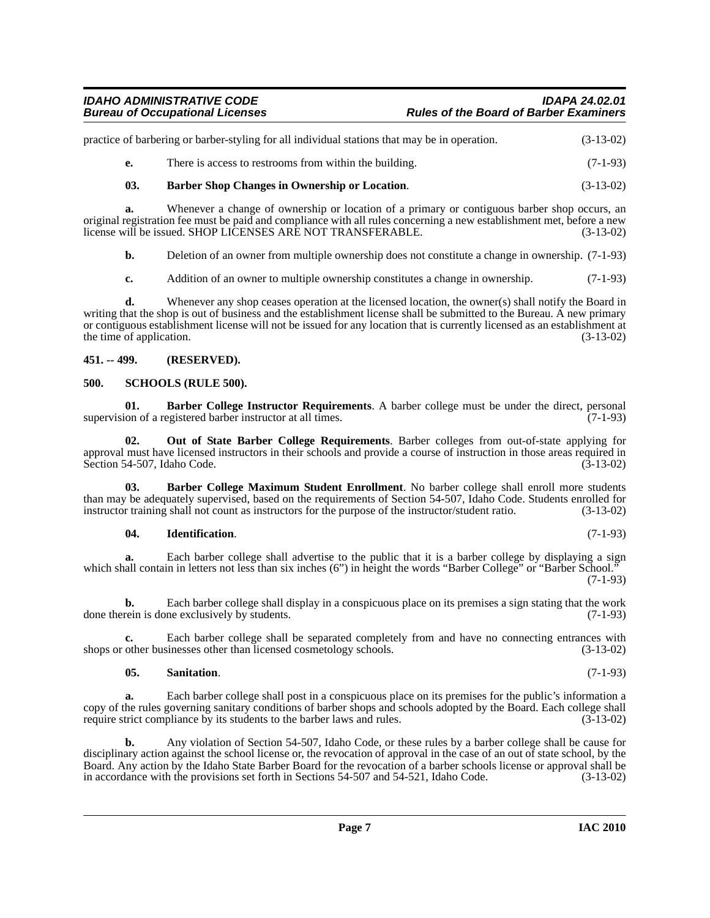| practice of barbering or barber-styling for all individual stations that may be in operation. | $(3-13-02)$ |
|-----------------------------------------------------------------------------------------------|-------------|
| There is access to restrooms from within the building.                                        | $(7-1-93)$  |

#### <span id="page-6-4"></span>**03. Barber Shop Changes in Ownership or Location**. (3-13-02)

**a.** Whenever a change of ownership or location of a primary or contiguous barber shop occurs, an original registration fee must be paid and compliance with all rules concerning a new establishment met, before a new license will be issued. SHOP LICENSES ARE NOT TRANSFERABLE. (3-13-02)

**b.** Deletion of an owner from multiple ownership does not constitute a change in ownership.  $(7-1-93)$ 

**c.** Addition of an owner to multiple ownership constitutes a change in ownership. (7-1-93)

**d.** Whenever any shop ceases operation at the licensed location, the owner(s) shall notify the Board in writing that the shop is out of business and the establishment license shall be submitted to the Bureau. A new primary or contiguous establishment license will not be issued for any location that is currently licensed as an establishment at the time of application.  $(3-13-02)$ 

#### <span id="page-6-0"></span>**451. -- 499. (RESERVED).**

#### <span id="page-6-8"></span><span id="page-6-1"></span>**500. SCHOOLS (RULE 500).**

<span id="page-6-2"></span>**01. Barber College Instructor Requirements**. A barber college must be under the direct, personal ion of a registered barber instructor at all times. (7-1-93) supervision of a registered barber instructor at all times.

<span id="page-6-6"></span>**02. Out of State Barber College Requirements**. Barber colleges from out-of-state applying for approval must have licensed instructors in their schools and provide a course of instruction in those areas required in Section 54-507, Idaho Code. (3-13-02) Section 54-507, Idaho Code.

**03. Barber College Maximum Student Enrollment**. No barber college shall enroll more students than may be adequately supervised, based on the requirements of Section 54-507, Idaho Code. Students enrolled for instructor training shall not count as instructors for the purpose of the instructor/student ratio. (3-13-02)

#### <span id="page-6-5"></span><span id="page-6-3"></span>**04. Identification**. (7-1-93)

**a.** Each barber college shall advertise to the public that it is a barber college by displaying a sign which shall contain in letters not less than six inches (6") in height the words "Barber College" or "Barber School." (7-1-93)

**b.** Each barber college shall display in a conspicuous place on its premises a sign stating that the work done therein is done exclusively by students. (7-1-93)

**c.** Each barber college shall be separated completely from and have no connecting entrances with shops or other businesses other than licensed cosmetology schools. (3-13-02)

#### <span id="page-6-7"></span>**05. Sanitation**. (7-1-93)

**a.** Each barber college shall post in a conspicuous place on its premises for the public's information a copy of the rules governing sanitary conditions of barber shops and schools adopted by the Board. Each college shall require strict compliance by its students to the barber laws and rules. (3-13-02)

**b.** Any violation of Section 54-507, Idaho Code, or these rules by a barber college shall be cause for disciplinary action against the school license or, the revocation of approval in the case of an out of state school, by the Board. Any action by the Idaho State Barber Board for the revocation of a barber schools license or approval shall be<br>in accordance with the provisions set forth in Sections 54-507 and 54-521, Idaho Code. (3-13-02) in accordance with the provisions set forth in Sections 54-507 and 54-521, Idaho Code.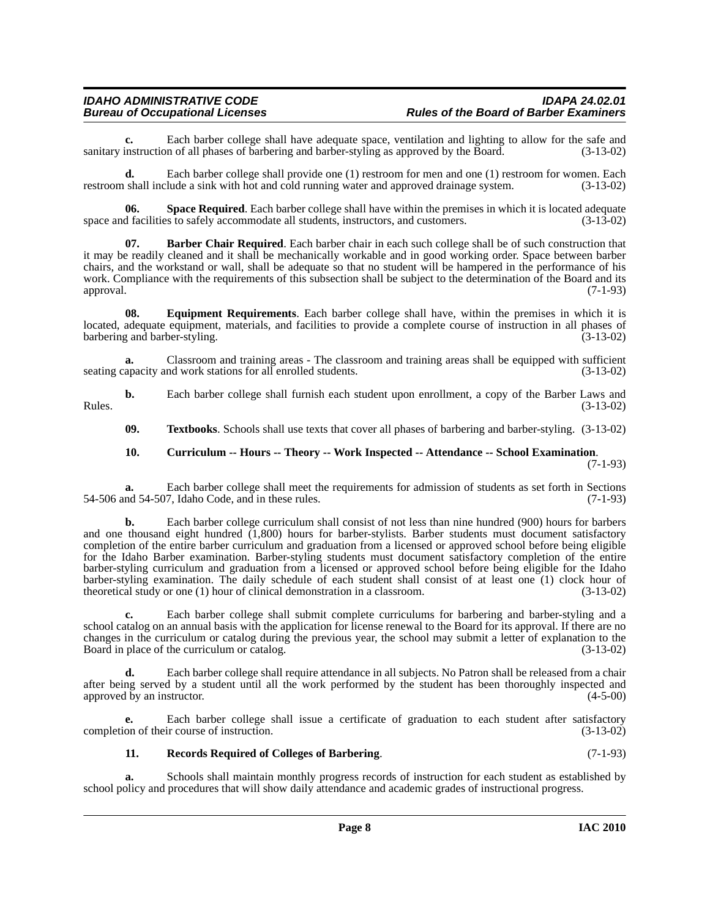**c.** Each barber college shall have adequate space, ventilation and lighting to allow for the safe and instruction of all phases of barbering and barber-styling as approved by the Board. (3-13-02) sanitary instruction of all phases of barbering and barber-styling as approved by the Board.

**d.** Each barber college shall provide one (1) restroom for men and one (1) restroom for women. Each restroom shall include a sink with hot and cold running water and approved drainage system. (3-13-02)

<span id="page-7-4"></span>**06.** Space Required. Each barber college shall have within the premises in which it is located adequate of facilities to safely accommodate all students, instructors, and customers. (3-13-02) space and facilities to safely accommodate all students, instructors, and customers.

<span id="page-7-0"></span>**07. Barber Chair Required**. Each barber chair in each such college shall be of such construction that it may be readily cleaned and it shall be mechanically workable and in good working order. Space between barber chairs, and the workstand or wall, shall be adequate so that no student will be hampered in the performance of his work. Compliance with the requirements of this subsection shall be subject to the determination of the Board and its approval. (7-1-93)

<span id="page-7-2"></span>**08. Equipment Requirements**. Each barber college shall have, within the premises in which it is located, adequate equipment, materials, and facilities to provide a complete course of instruction in all phases of barbering and barber-styling. (3-13-02)

**a.** Classroom and training areas - The classroom and training areas shall be equipped with sufficient seating capacity and work stations for all enrolled students. (3-13-02)

**b.** Each barber college shall furnish each student upon enrollment, a copy of the Barber Laws and Rules.  $(3-13-02)$ 

<span id="page-7-5"></span>**09. Textbooks**. Schools shall use texts that cover all phases of barbering and barber-styling. (3-13-02)

#### <span id="page-7-1"></span>**10. Curriculum -- Hours -- Theory -- Work Inspected -- Attendance -- School Examination**. (7-1-93)

**a.** Each barber college shall meet the requirements for admission of students as set forth in Sections 54-506 and 54-507, Idaho Code, and in these rules. (7-1-93)

**b.** Each barber college curriculum shall consist of not less than nine hundred (900) hours for barbers and one thousand eight hundred  $(1,800)$  hours for barber-stylists. Barber students must document satisfactory completion of the entire barber curriculum and graduation from a licensed or approved school before being eligible for the Idaho Barber examination. Barber-styling students must document satisfactory completion of the entire barber-styling curriculum and graduation from a licensed or approved school before being eligible for the Idaho barber-styling examination. The daily schedule of each student shall consist of at least one (1) clock hour of theoretical study or one (1) hour of clinical demonstration in a classroom. (3-13-02) theoretical study or one  $(1)$  hour of clinical demonstration in a classroom.

**c.** Each barber college shall submit complete curriculums for barbering and barber-styling and a school catalog on an annual basis with the application for license renewal to the Board for its approval. If there are no changes in the curriculum or catalog during the previous year, the school may submit a letter of explanation to the Board in place of the curriculum or catalog. (3-13-02)

**d.** Each barber college shall require attendance in all subjects. No Patron shall be released from a chair after being served by a student until all the work performed by the student has been thoroughly inspected and approved by an instructor. (4-5-00) approved by an instructor.

**e.** Each barber college shall issue a certificate of graduation to each student after satisfactory completion of their course of instruction. (3-13-02)

#### <span id="page-7-3"></span>**11. Records Required of Colleges of Barbering**. (7-1-93)

**a.** Schools shall maintain monthly progress records of instruction for each student as established by school policy and procedures that will show daily attendance and academic grades of instructional progress.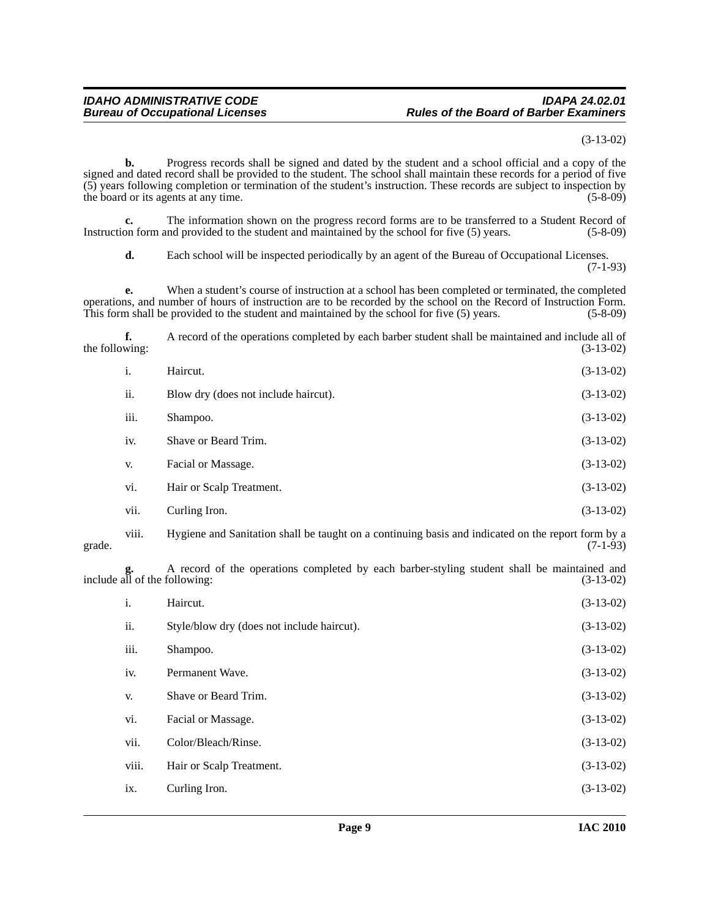(3-13-02)

**b.** Progress records shall be signed and dated by the student and a school official and a copy of the signed and dated record shall be provided to the student. The school shall maintain these records for a period of five (5) years following completion or termination of the student's instruction. These records are subject to inspection by the board or its agents at any time. (5-8-09)

**c.** The information shown on the progress record forms are to be transferred to a Student Record of Instruction form and provided to the student and maintained by the school for five (5) years. (5-8-09)

**d.** Each school will be inspected periodically by an agent of the Bureau of Occupational Licenses. (7-1-93)

**e.** When a student's course of instruction at a school has been completed or terminated, the completed operations, and number of hours of instruction are to be recorded by the school on the Record of Instruction Form. This form shall be provided to the student and maintained by the school for five (5) years. (5-8-09)

**f.** A record of the operations completed by each barber student shall be maintained and include all of the following:  $(3-13-02)$ 

| $\mathbf{i}$ . | Haircut.                             | $(3-13-02)$ |
|----------------|--------------------------------------|-------------|
| ii.            | Blow dry (does not include haircut). | $(3-13-02)$ |
| iii.           | Shampoo.                             | $(3-13-02)$ |
| iv.            | Shave or Beard Trim.                 | $(3-13-02)$ |
| V.             | Facial or Massage.                   | $(3-13-02)$ |
| vi.            | Hair or Scalp Treatment.             | $(3-13-02)$ |
| vii.           | Curling Iron.                        | $(3-13-02)$ |

viii. Hygiene and Sanitation shall be taught on a continuing basis and indicated on the report form by a grade.  $(7-1-93)$ 

**g.** A record of the operations completed by each barber-styling student shall be maintained and **g.** A record of the operations completed by each barber-styling student shall be maintained and include all of the following: (3-13-02)

| i.    | Haircut.                                   | $(3-13-02)$ |
|-------|--------------------------------------------|-------------|
| ii.   | Style/blow dry (does not include haircut). | $(3-13-02)$ |
| iii.  | Shampoo.                                   | $(3-13-02)$ |
| iv.   | Permanent Wave.                            | $(3-13-02)$ |
| V.    | Shave or Beard Trim.                       | $(3-13-02)$ |
| vi.   | Facial or Massage.                         | $(3-13-02)$ |
| vii.  | Color/Bleach/Rinse.                        | $(3-13-02)$ |
| viii. | Hair or Scalp Treatment.                   | $(3-13-02)$ |
| ix.   | Curling Iron.                              | $(3-13-02)$ |
|       |                                            |             |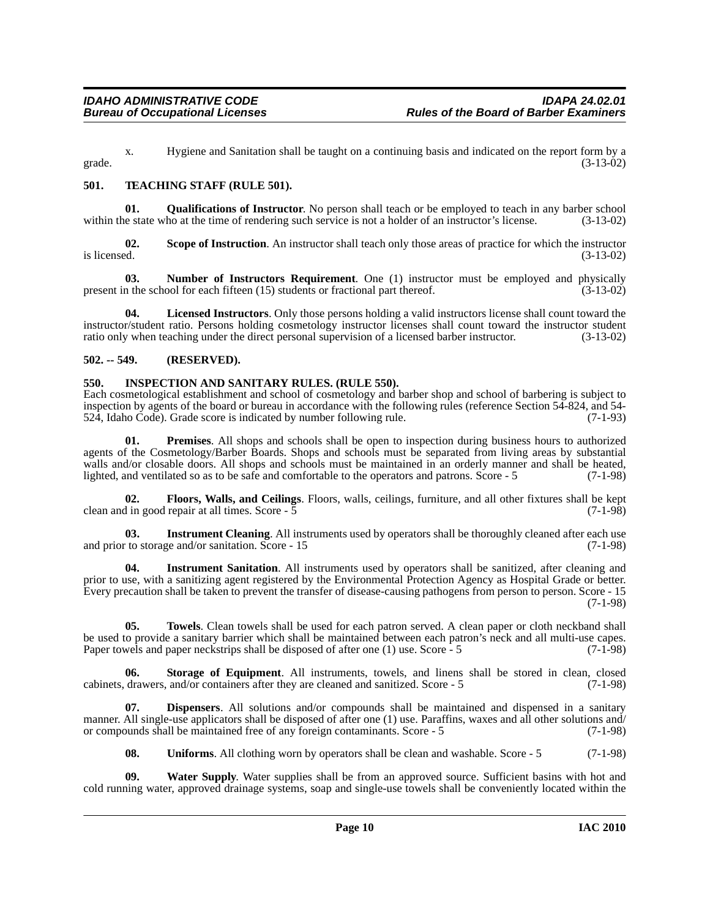x. Hygiene and Sanitation shall be taught on a continuing basis and indicated on the report form by a grade.  $(3-13-02)$ 

#### <span id="page-9-7"></span><span id="page-9-0"></span>**501. TEACHING STAFF (RULE 501).**

<span id="page-9-6"></span>**01. Qualifications of Instructor**. No person shall teach or be employed to teach in any barber school le state who at the time of rendering such service is not a holder of an instructor's license. (3-13-02) within the state who at the time of rendering such service is not a holder of an instructor's license.

**02.** Scope of Instruction. An instructor shall teach only those areas of practice for which the instructor is licensed.  $(3-13-02)$ is licensed.  $(3-13-02)$ 

<span id="page-9-4"></span>**03. Number of Instructors Requirement**. One (1) instructor must be employed and physically present in the school for each fifteen (15) students or fractional part thereof. (3-13-02)

**04. Licensed Instructors**. Only those persons holding a valid instructors license shall count toward the instructor/student ratio. Persons holding cosmetology instructor licenses shall count toward the instructor student ratio only when teaching under the direct personal supervision of a licensed barber instructor. (3-13-02)

#### <span id="page-9-1"></span>**502. -- 549. (RESERVED).**

#### <span id="page-9-3"></span><span id="page-9-2"></span>**550. INSPECTION AND SANITARY RULES. (RULE 550).**

Each cosmetological establishment and school of cosmetology and barber shop and school of barbering is subject to inspection by agents of the board or bureau in accordance with the following rules (reference Section 54-824, and 54-<br>524, Idaho Code). Grade score is indicated by number following rule. (7-1-93) 524, Idaho Code). Grade score is indicated by number following rule.

<span id="page-9-5"></span>**01. Premises**. All shops and schools shall be open to inspection during business hours to authorized agents of the Cosmetology/Barber Boards. Shops and schools must be separated from living areas by substantial walls and/or closable doors. All shops and schools must be maintained in an orderly manner and shall be heated, lighted, and ventilated so as to be safe and comfortable to the operators and patrons. Score - 5 (7-1-98)

**02. Floors, Walls, and Ceilings**. Floors, walls, ceilings, furniture, and all other fixtures shall be kept clean and in good repair at all times. Score - 5 (7-1-98)

**03.** Instrument Cleaning. All instruments used by operators shall be thoroughly cleaned after each use and prior to storage and/or sanitation. Score - 15 (7-1-98)

**04. Instrument Sanitation**. All instruments used by operators shall be sanitized, after cleaning and prior to use, with a sanitizing agent registered by the Environmental Protection Agency as Hospital Grade or better. Every precaution shall be taken to prevent the transfer of disease-causing pathogens from person to person. Score - 15 (7-1-98)

**05. Towels**. Clean towels shall be used for each patron served. A clean paper or cloth neckband shall be used to provide a sanitary barrier which shall be maintained between each patron's neck and all multi-use capes. Paper towels and paper neckstrips shall be disposed of after one (1) use. Score - 5 (7-1-98)

**06. Storage of Equipment**. All instruments, towels, and linens shall be stored in clean, closed cabinets, drawers, and/or containers after they are cleaned and sanitized. Score - 5 (7-1-98)

**07. Dispensers**. All solutions and/or compounds shall be maintained and dispensed in a sanitary manner. All single-use applicators shall be disposed of after one (1) use. Paraffins, waxes and all other solutions and/ or compounds shall be maintained free of any foreign contaminants. Score - 5 (7-1-98)

**08.** Uniforms. All clothing worn by operators shall be clean and washable. Score - 5 (7-1-98)

**09. Water Supply**. Water supplies shall be from an approved source. Sufficient basins with hot and cold running water, approved drainage systems, soap and single-use towels shall be conveniently located within the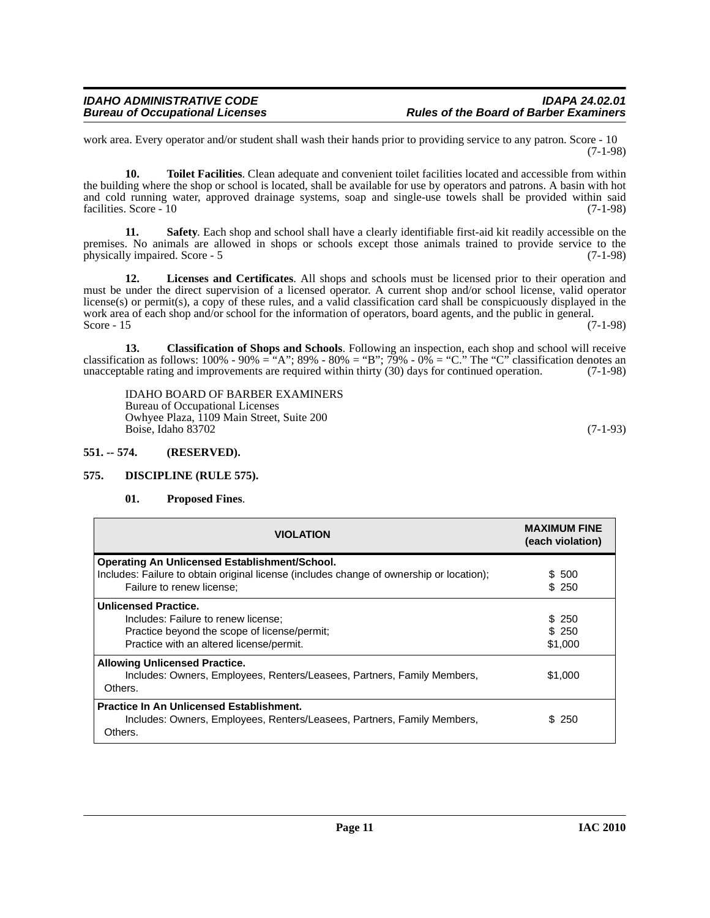work area. Every operator and/or student shall wash their hands prior to providing service to any patron. Score - 10 (7-1-98)

**10. Toilet Facilities**. Clean adequate and convenient toilet facilities located and accessible from within the building where the shop or school is located, shall be available for use by operators and patrons. A basin with hot and cold running water, approved drainage systems, soap and single-use towels shall be provided within said facilities. Score - 10 (7-1-98) facilities. Score - 10

**11. Safety**. Each shop and school shall have a clearly identifiable first-aid kit readily accessible on the premises. No animals are allowed in shops or schools except those animals trained to provide service to the physically impaired. Score - 5 (7-1-98) physically impaired. Score - 5

**12. Licenses and Certificates**. All shops and schools must be licensed prior to their operation and must be under the direct supervision of a licensed operator. A current shop and/or school license, valid operator license(s) or permit(s), a copy of these rules, and a valid classification card shall be conspicuously displayed in the work area of each shop and/or school for the information of operators, board agents, and the public in general.<br>Score - 15 (7-1-98) Score - 15  $(7-1-98)$ 

**13. Classification of Shops and Schools**. Following an inspection, each shop and school will receive classification as follows:  $100\%$  -  $90\%$  = "A";  $89\%$  -  $80\%$  = "B";  $79\%$  -  $0\%$  = "C." The "C" classification denotes an unacceptable rating and improvements are required within thirty (30) days for continued operation. (7-1-98)

IDAHO BOARD OF BARBER EXAMINERS Bureau of Occupational Licenses Owhyee Plaza, 1109 Main Street, Suite 200 Boise, Idaho 83702 (7-1-93)

#### <span id="page-10-0"></span>**551. -- 574. (RESERVED).**

#### <span id="page-10-1"></span>**575. DISCIPLINE (RULE 575).**

#### <span id="page-10-3"></span><span id="page-10-2"></span>**01. Proposed Fines**.

| <b>VIOLATION</b>                                                                                                                                 | <b>MAXIMUM FINE</b><br>(each violation) |
|--------------------------------------------------------------------------------------------------------------------------------------------------|-----------------------------------------|
| <b>Operating An Unlicensed Establishment/School.</b><br>Includes: Failure to obtain original license (includes change of ownership or location); | \$ 500                                  |
| Failure to renew license;                                                                                                                        | \$250                                   |
| <b>Unlicensed Practice.</b><br>Includes: Failure to renew license;                                                                               | \$ 250                                  |
| Practice beyond the scope of license/permit;                                                                                                     | \$250                                   |
| Practice with an altered license/permit.                                                                                                         | \$1,000                                 |
| <b>Allowing Unlicensed Practice.</b><br>Includes: Owners, Employees, Renters/Leasees, Partners, Family Members,<br>Others.                       | \$1,000                                 |
| <b>Practice In An Unlicensed Establishment.</b><br>Includes: Owners, Employees, Renters/Leasees, Partners, Family Members,<br>Others.            | \$250                                   |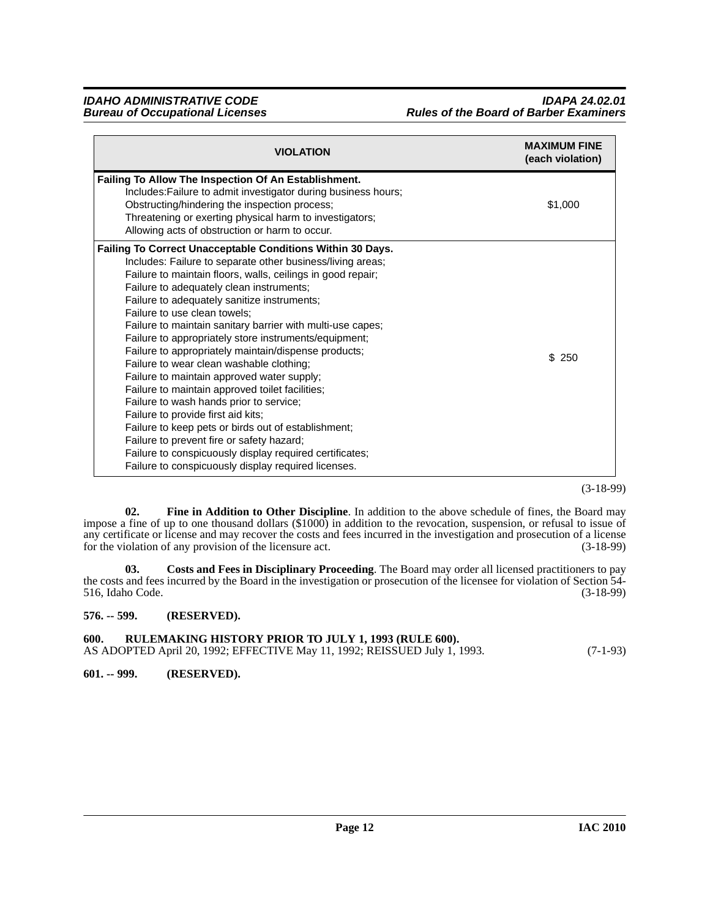| <b>VIOLATION</b>                                                                                                                                                                                                                                                                                                                                                                                                                                                                                                                                                                                                                                                                                                                                                                                                                                                                                                                                      | <b>MAXIMUM FINE</b><br>(each violation) |
|-------------------------------------------------------------------------------------------------------------------------------------------------------------------------------------------------------------------------------------------------------------------------------------------------------------------------------------------------------------------------------------------------------------------------------------------------------------------------------------------------------------------------------------------------------------------------------------------------------------------------------------------------------------------------------------------------------------------------------------------------------------------------------------------------------------------------------------------------------------------------------------------------------------------------------------------------------|-----------------------------------------|
| Failing To Allow The Inspection Of An Establishment.<br>Includes: Failure to admit investigator during business hours;<br>Obstructing/hindering the inspection process;<br>Threatening or exerting physical harm to investigators;<br>Allowing acts of obstruction or harm to occur.                                                                                                                                                                                                                                                                                                                                                                                                                                                                                                                                                                                                                                                                  | \$1,000                                 |
| Failing To Correct Unacceptable Conditions Within 30 Days.<br>Includes: Failure to separate other business/living areas;<br>Failure to maintain floors, walls, ceilings in good repair;<br>Failure to adequately clean instruments;<br>Failure to adequately sanitize instruments;<br>Failure to use clean towels;<br>Failure to maintain sanitary barrier with multi-use capes;<br>Failure to appropriately store instruments/equipment;<br>Failure to appropriately maintain/dispense products;<br>Failure to wear clean washable clothing;<br>Failure to maintain approved water supply;<br>Failure to maintain approved toilet facilities;<br>Failure to wash hands prior to service;<br>Failure to provide first aid kits;<br>Failure to keep pets or birds out of establishment;<br>Failure to prevent fire or safety hazard;<br>Failure to conspicuously display required certificates;<br>Failure to conspicuously display required licenses. | \$250                                   |

(3-18-99)

<span id="page-11-4"></span>**02. Fine in Addition to Other Discipline**. In addition to the above schedule of fines, the Board may impose a fine of up to one thousand dollars (\$1000) in addition to the revocation, suspension, or refusal to issue of any certificate or license and may recover the costs and fees incurred in the investigation and prosecution of a license<br>for the violation of any provision of the licensure act. (3-18-99) for the violation of any provision of the licensure act.

<span id="page-11-3"></span>**03. Costs and Fees in Disciplinary Proceeding**. The Board may order all licensed practitioners to pay the costs and fees incurred by the Board in the investigation or prosecution of the licensee for violation of Section 54-<br>516, Idaho Code. (3-18-99) 516, Idaho Code.

<span id="page-11-0"></span>**576. -- 599. (RESERVED).**

<span id="page-11-1"></span>**600. RULEMAKING HISTORY PRIOR TO JULY 1, 1993 (RULE 600).** AS ADOPTED April 20, 1992; EFFECTIVE May 11, 1992; REISSUED July 1, 1993. (7-1-93)

<span id="page-11-2"></span>**601. -- 999. (RESERVED).**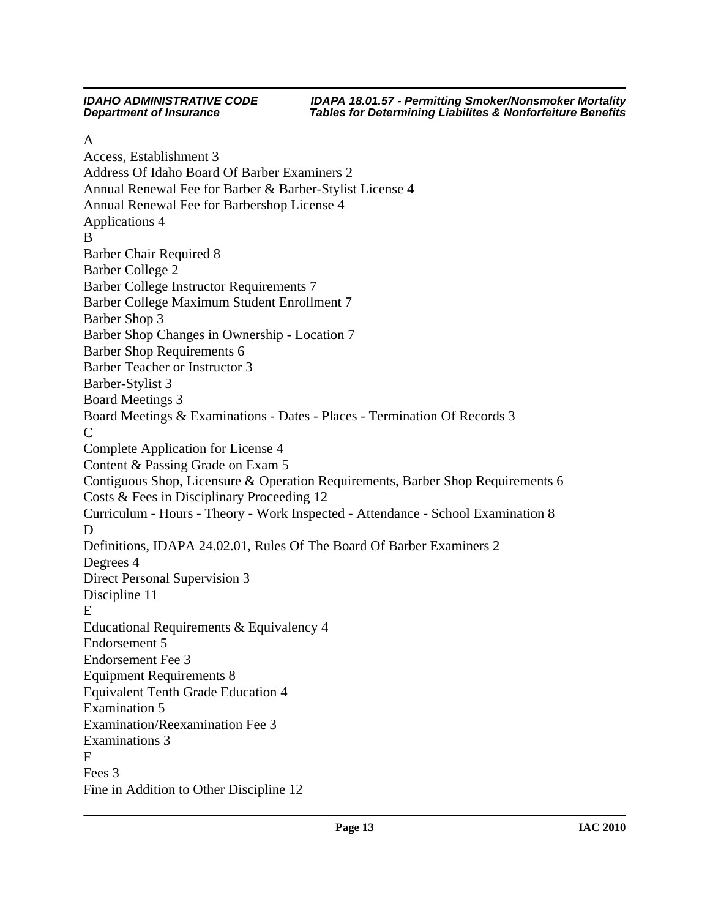**IDAHO ADMINISTRATIVE CODE** *IDAPA 18.01.57 - Permitting Smoker/Nonsmoker Mortality Department of Insurance Tables for Determining Liabilites & Nonforfeiture Benefits*

#### A

[Access, Establishment 3](#page-2-4) [Address Of Idaho Board Of Barber Examiners 2](#page-1-10) [Annual Renewal Fee for Barber & Barber-Stylist License 4](#page-3-4) [Annual Renewal Fee for Barbershop License 4](#page-3-5) [Applications 4](#page-3-6) B [Barber Chair Required 8](#page-7-0) [Barber College 2](#page-1-11) [Barber College Instructor Requirements 7](#page-6-2) [Barber College Maximum Student Enrollment 7](#page-6-3) [Barber Shop 3](#page-2-5) [Barber Shop Changes in Ownership - Location 7](#page-6-4) [Barber Shop Requirements 6](#page-5-2) [Barber Teacher or Instructor 3](#page-2-6) [Barber-Stylist 3](#page-2-7) [Board Meetings 3](#page-2-8) [Board Meetings & Examinations - Dates - Places - Termination Of Records 3](#page-2-9) C [Complete Application for License 4](#page-3-7) [Content & Passing Grade on Exam 5](#page-4-6) [Contiguous Shop, Licensure & Operation Requirements, Barber Shop Requirements 6](#page-5-3) [Costs & Fees in Disciplinary Proceeding 12](#page-11-3) [Curriculum - Hours - Theory - Work Inspected - Attendance - School Examination 8](#page-7-1) D [Definitions, IDAPA 24.02.01, Rules Of The Board Of Barber Examiners 2](#page-1-12) [Degrees 4](#page-3-8) [Direct Personal Supervision 3](#page-2-10) [Discipline 11](#page-10-2) E [Educational Requirements & Equivalency 4](#page-3-9) [Endorsement 5](#page-4-7) [Endorsement Fee 3](#page-2-11) [Equipment Requirements 8](#page-7-2) [Equivalent Tenth Grade Education 4](#page-3-10) [Examination 5](#page-4-8) [Examination/Reexamination Fee 3](#page-2-12) [Examinations 3](#page-2-13) F [Fees 3](#page-2-14) [Fine in Addition to Other Discipline 12](#page-11-4)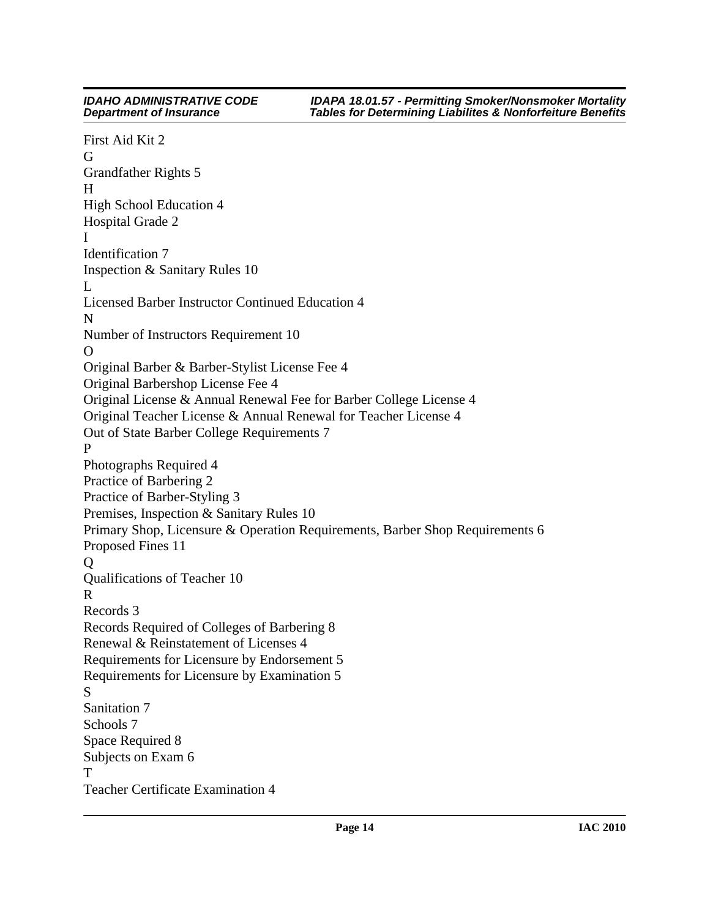#### **IDAHO ADMINISTRATIVE CODE** *IDAPA 18.01.57 - Permitting Smoker/Nonsmoker Mortality Department of Insurance Tables for Determining Liabilites & Nonforfeiture Benefits* [First Aid Kit 2](#page-1-13) G [Grandfather Rights 5](#page-4-9) H [High School Education 4](#page-3-11) [Hospital Grade 2](#page-1-14) I [Identification 7](#page-6-5) [Inspection & Sanitary Rules 10](#page-9-3) L [Licensed Barber Instructor Continued Education 4](#page-3-12) N [Number of Instructors Requirement 10](#page-9-4)  $\Omega$ [Original Barber & Barber-Stylist License Fee 4](#page-3-13) [Original Barbershop License Fee 4](#page-3-14) [Original License & Annual Renewal Fee for Barber College License 4](#page-3-15) [Original Teacher License & Annual Renewal for Teacher License 4](#page-3-16) [Out of State Barber College Requirements 7](#page-6-6) P [Photographs Required 4](#page-3-17) [Practice of Barbering 2](#page-1-15) [Practice of Barber-Styling 3](#page-2-15) [Premises, Inspection & Sanitary Rules 10](#page-9-5) [Primary Shop, Licensure & Operation Requirements, Barber Shop Requirements 6](#page-5-4) [Proposed Fines 11](#page-10-3) Q [Qualifications of Teacher 10](#page-9-6) R [Records 3](#page-2-16) [Records Required of Colleges of Barbering 8](#page-7-3) [Renewal & Reinstatement of Licenses 4](#page-3-18) [Requirements for Licensure by Endorsement 5](#page-4-10) [Requirements for Licensure by Examination 5](#page-4-11) S [Sanitation 7](#page-6-7) [Schools 7](#page-6-8) [Space Required 8](#page-7-4) [Subjects on Exam 6](#page-5-5) T [Teacher Certificate Examination 4](#page-3-19)